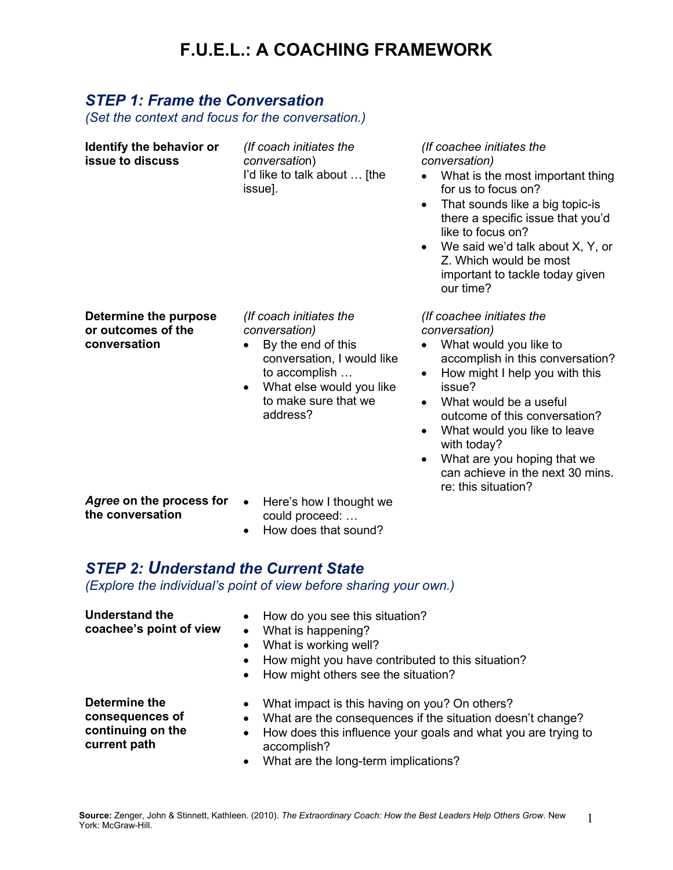# **F.U.E.L.: A COACHING FRAMEWORK**

#### *STEP 1: Frame the Conversation*

**continuing on the current path**

*(Set the context and focus for the conversation.)*

| Identify the behavior or<br>issue to discuss                                                                     | (If coach initiates the<br><i>conversation</i> )<br>I'd like to talk about  [the<br>issue].                                                                                                | (If coachee initiates the<br>conversation)<br>What is the most important thing<br>$\bullet$<br>for us to focus on?<br>That sounds like a big topic-is<br>$\bullet$<br>there a specific issue that you'd<br>like to focus on?<br>We said we'd talk about X, Y, or<br>$\bullet$<br>Z. Which would be most<br>important to tackle today given<br>our time?                                                      |  |  |
|------------------------------------------------------------------------------------------------------------------|--------------------------------------------------------------------------------------------------------------------------------------------------------------------------------------------|--------------------------------------------------------------------------------------------------------------------------------------------------------------------------------------------------------------------------------------------------------------------------------------------------------------------------------------------------------------------------------------------------------------|--|--|
| Determine the purpose<br>or outcomes of the<br>conversation                                                      | (If coach initiates the<br>conversation)<br>By the end of this<br>conversation, I would like<br>to accomplish<br>What else would you like<br>$\bullet$<br>to make sure that we<br>address? | (If coachee initiates the<br>conversation)<br>What would you like to<br>$\bullet$<br>accomplish in this conversation?<br>How might I help you with this<br>$\bullet$<br>issue?<br>What would be a useful<br>outcome of this conversation?<br>What would you like to leave<br>$\bullet$<br>with today?<br>What are you hoping that we<br>$\bullet$<br>can achieve in the next 30 mins.<br>re: this situation? |  |  |
| Agree on the process for<br>the conversation                                                                     | Here's how I thought we<br>$\bullet$<br>could proceed:<br>How does that sound?<br>$\bullet$                                                                                                |                                                                                                                                                                                                                                                                                                                                                                                                              |  |  |
| <b>STEP 2: Understand the Current State</b><br>(Explore the individual's point of view before sharing your own.) |                                                                                                                                                                                            |                                                                                                                                                                                                                                                                                                                                                                                                              |  |  |
| <b>Understand the</b><br>coachee's point of view                                                                 | How do you see this situation?<br>$\bullet$<br>What is happening?<br>What is working well?<br>How might you have contributed to this situation?<br>How might others see the situation?     |                                                                                                                                                                                                                                                                                                                                                                                                              |  |  |
| <b>Determine the</b><br>consequences of                                                                          | What impact is this having on you? On others?                                                                                                                                              | What are the consequences if the situation doesn't change?                                                                                                                                                                                                                                                                                                                                                   |  |  |

- How does this influence your goals and what you are trying to accomplish?
- What are the long-term implications?